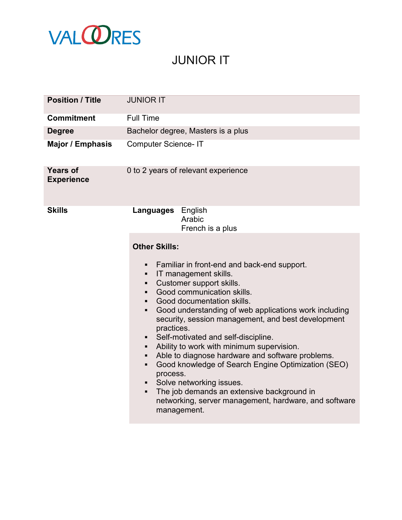

## JUNIOR IT

| <b>Position / Title</b>              | <b>JUNIOR IT</b>                                                                                                                                                                                                                                                                                                                                                                                                                                                                                                                                                                                                                                                                                                                        |
|--------------------------------------|-----------------------------------------------------------------------------------------------------------------------------------------------------------------------------------------------------------------------------------------------------------------------------------------------------------------------------------------------------------------------------------------------------------------------------------------------------------------------------------------------------------------------------------------------------------------------------------------------------------------------------------------------------------------------------------------------------------------------------------------|
| <b>Commitment</b>                    | <b>Full Time</b>                                                                                                                                                                                                                                                                                                                                                                                                                                                                                                                                                                                                                                                                                                                        |
| <b>Degree</b>                        | Bachelor degree, Masters is a plus                                                                                                                                                                                                                                                                                                                                                                                                                                                                                                                                                                                                                                                                                                      |
| <b>Major / Emphasis</b>              | <b>Computer Science-IT</b>                                                                                                                                                                                                                                                                                                                                                                                                                                                                                                                                                                                                                                                                                                              |
| <b>Years of</b><br><b>Experience</b> | 0 to 2 years of relevant experience                                                                                                                                                                                                                                                                                                                                                                                                                                                                                                                                                                                                                                                                                                     |
| <b>Skills</b>                        | <b>Languages</b> English<br>Arabic<br>French is a plus                                                                                                                                                                                                                                                                                                                                                                                                                                                                                                                                                                                                                                                                                  |
|                                      | <b>Other Skills:</b><br>Familiar in front-end and back-end support.<br>IT management skills.<br>٠<br>Customer support skills.<br>٠<br>Good communication skills.<br>٠<br>Good documentation skills.<br>Good understanding of web applications work including<br>٠<br>security, session management, and best development<br>practices.<br>Self-motivated and self-discipline.<br>٠<br>Ability to work with minimum supervision.<br>٠<br>Able to diagnose hardware and software problems.<br>٠<br>Good knowledge of Search Engine Optimization (SEO)<br>٠<br>process.<br>Solve networking issues.<br>The job demands an extensive background in<br>$\blacksquare$<br>networking, server management, hardware, and software<br>management. |